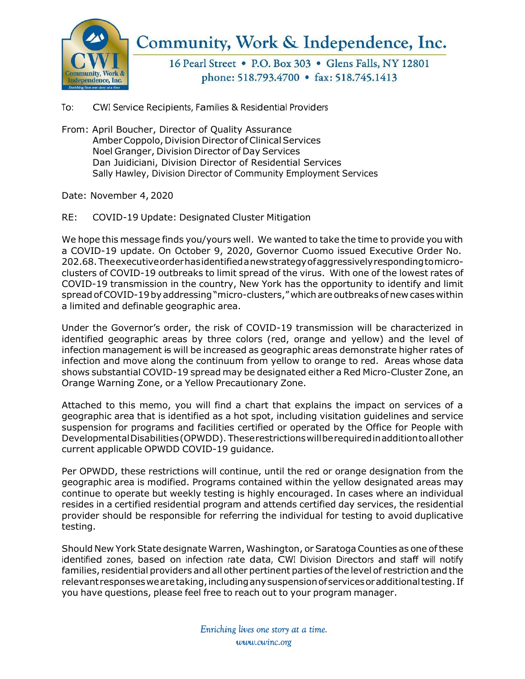

Community, Work & Independence, Inc.

16 Pearl Street • P.O. Box 303 • Glens Falls, NY 12801 phone: 518.793.4700 • fax: 518.745.1413

To: CWI Service Recipients, Families & Residential Providers

From: April Boucher, Director of Quality Assurance Amber Coppolo, Division Director of Clinical Services Noel Granger, Division Director of Day Services Dan Juidiciani, Division Director of Residential Services Sally Hawley, Division Director of Community Employment Services

Date: November 4, 2020

RE: COVID-19 Update: Designated Cluster Mitigation

We hope this message finds you/yours well. We wanted to take the time to provide you with a COVID-19 update. On October 9, 2020, Governor Cuomo issued Executive Order No. 202.68.Theexecutiveorderhasidentifiedanewstrategyofaggressivelyrespondingtomicroclusters of COVID-19 outbreaks to limit spread of the virus. With one of the lowest rates of COVID-19 transmission in the country, New York has the opportunity to identify and limit spread of COVID-19 by addressing "micro-clusters," which are outbreaks of new cases within a limited and definable geographic area.

Under the Governor's order, the risk of COVID-19 transmission will be characterized in identified geographic areas by three colors (red, orange and yellow) and the level of infection management is will be increased as geographic areas demonstrate higher rates of infection and move along the continuum from yellow to orange to red. Areas whose data shows substantial COVID-19 spread may be designated either a Red Micro-Cluster Zone, an Orange Warning Zone, or a Yellow Precautionary Zone.

Attached to this memo, you will find a chart that explains the impact on services of a geographic area that is identified as a hot spot, including visitation guidelines and service suspension for programs and facilities certified or operated by the Office for People with DevelopmentalDisabilities(OPWDD). Theserestrictionswillberequiredinadditiontoallother current applicable OPWDD COVID-19 guidance.

Per OPWDD, these restrictions will continue, until the red or orange designation from the geographic area is modified. Programs contained within the yellow designated areas may continue to operate but weekly testing is highly encouraged. In cases where an individual resides in a certified residential program and attends certified day services, the residential provider should be responsible for referring the individual for testing to avoid duplicative testing.

Should New York State designate Warren, Washington, or Saratoga Counties as one of these identified zones, based on infection rate data, CWI Division Directors and staff will notify families, residential providers and all other pertinent parties ofthe level of restriction and the relevant responses we are taking, including any suspension of services or additional testing. If you have questions, please feel free to reach out to your program manager.